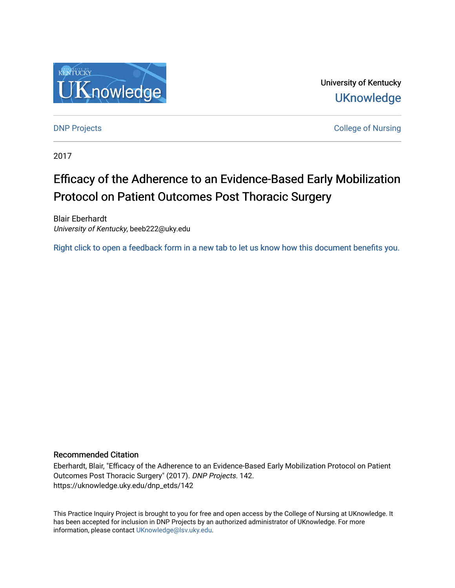

University of Kentucky **UKnowledge** 

[DNP Projects](https://uknowledge.uky.edu/dnp_etds) **College of Nursing** 

2017

# Efficacy of the Adherence to an Evidence-Based Early Mobilization Protocol on Patient Outcomes Post Thoracic Surgery

Blair Eberhardt University of Kentucky, beeb222@uky.edu

[Right click to open a feedback form in a new tab to let us know how this document benefits you.](https://uky.az1.qualtrics.com/jfe/form/SV_9mq8fx2GnONRfz7)

#### Recommended Citation

Eberhardt, Blair, "Efficacy of the Adherence to an Evidence-Based Early Mobilization Protocol on Patient Outcomes Post Thoracic Surgery" (2017). DNP Projects. 142. https://uknowledge.uky.edu/dnp\_etds/142

This Practice Inquiry Project is brought to you for free and open access by the College of Nursing at UKnowledge. It has been accepted for inclusion in DNP Projects by an authorized administrator of UKnowledge. For more information, please contact [UKnowledge@lsv.uky.edu](mailto:UKnowledge@lsv.uky.edu).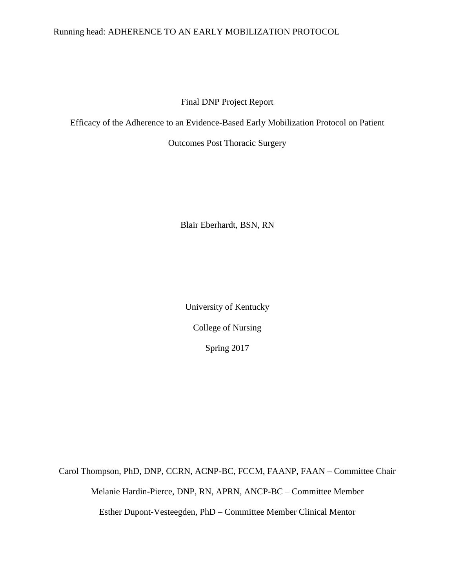#### Running head: ADHERENCE TO AN EARLY MOBILIZATION PROTOCOL

Final DNP Project Report

Efficacy of the Adherence to an Evidence-Based Early Mobilization Protocol on Patient

Outcomes Post Thoracic Surgery

Blair Eberhardt, BSN, RN

University of Kentucky College of Nursing Spring 2017

Carol Thompson, PhD, DNP, CCRN, ACNP-BC, FCCM, FAANP, FAAN – Committee Chair Melanie Hardin-Pierce, DNP, RN, APRN, ANCP-BC – Committee Member Esther Dupont-Vesteegden, PhD – Committee Member Clinical Mentor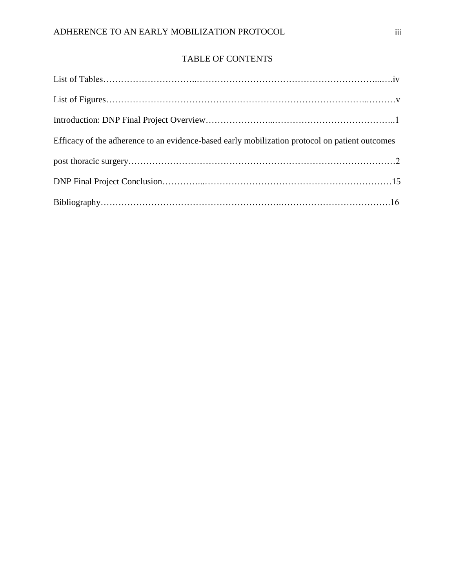## TABLE OF CONTENTS

| Efficacy of the adherence to an evidence-based early mobilization protocol on patient outcomes |  |
|------------------------------------------------------------------------------------------------|--|
|                                                                                                |  |
|                                                                                                |  |
|                                                                                                |  |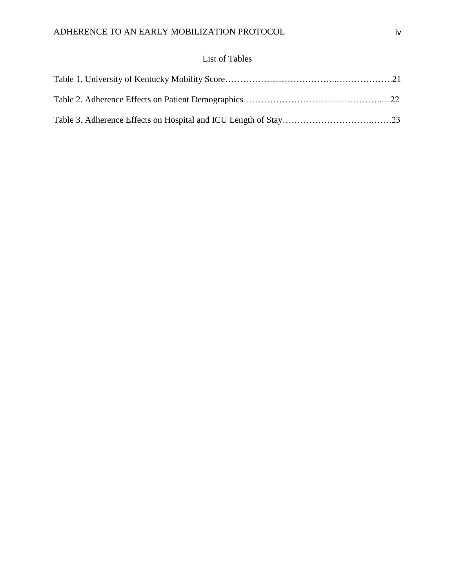## List of Tables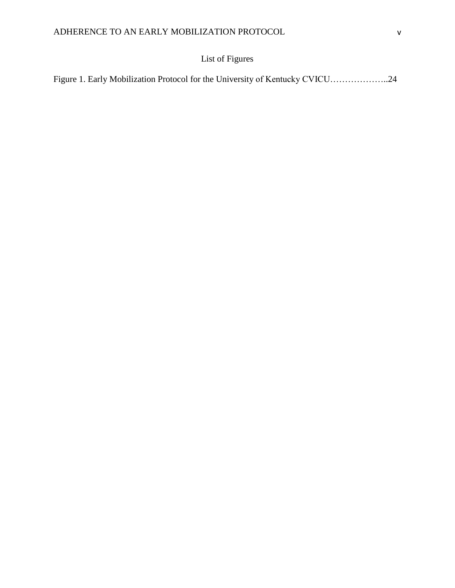## List of Figures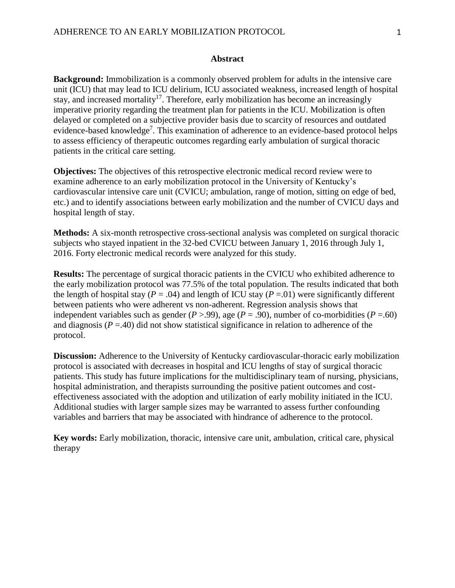#### **Abstract**

**Background:** Immobilization is a commonly observed problem for adults in the intensive care unit (ICU) that may lead to ICU delirium, ICU associated weakness, increased length of hospital stay, and increased mortality<sup>17</sup>. Therefore, early mobilization has become an increasingly imperative priority regarding the treatment plan for patients in the ICU. Mobilization is often delayed or completed on a subjective provider basis due to scarcity of resources and outdated evidence-based knowledge<sup>7</sup>. This examination of adherence to an evidence-based protocol helps to assess efficiency of therapeutic outcomes regarding early ambulation of surgical thoracic patients in the critical care setting.

**Objectives:** The objectives of this retrospective electronic medical record review were to examine adherence to an early mobilization protocol in the University of Kentucky's cardiovascular intensive care unit (CVICU; ambulation, range of motion, sitting on edge of bed, etc.) and to identify associations between early mobilization and the number of CVICU days and hospital length of stay.

**Methods:** A six-month retrospective cross-sectional analysis was completed on surgical thoracic subjects who stayed inpatient in the 32-bed CVICU between January 1, 2016 through July 1, 2016. Forty electronic medical records were analyzed for this study.

**Results:** The percentage of surgical thoracic patients in the CVICU who exhibited adherence to the early mobilization protocol was 77.5% of the total population. The results indicated that both the length of hospital stay ( $P = .04$ ) and length of ICU stay ( $P = .01$ ) were significantly different between patients who were adherent vs non-adherent. Regression analysis shows that independent variables such as gender ( $P > .99$ ), age ( $P = .90$ ), number of co-morbidities ( $P = .60$ ) and diagnosis  $(P = .40)$  did not show statistical significance in relation to adherence of the protocol.

**Discussion:** Adherence to the University of Kentucky cardiovascular-thoracic early mobilization protocol is associated with decreases in hospital and ICU lengths of stay of surgical thoracic patients. This study has future implications for the multidisciplinary team of nursing, physicians, hospital administration, and therapists surrounding the positive patient outcomes and costeffectiveness associated with the adoption and utilization of early mobility initiated in the ICU. Additional studies with larger sample sizes may be warranted to assess further confounding variables and barriers that may be associated with hindrance of adherence to the protocol.

**Key words:** Early mobilization, thoracic, intensive care unit, ambulation, critical care, physical therapy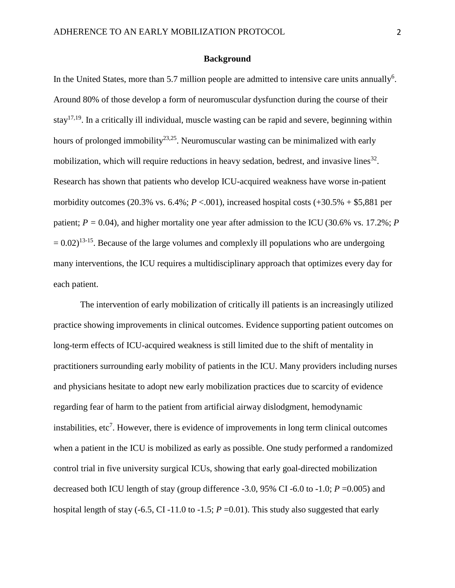#### **Background**

In the United States, more than 5.7 million people are admitted to intensive care units annually<sup>6</sup>. Around 80% of those develop a form of neuromuscular dysfunction during the course of their stay<sup>17,19</sup>. In a critically ill individual, muscle wasting can be rapid and severe, beginning within hours of prolonged immobility<sup>23,25</sup>. Neuromuscular wasting can be minimalized with early mobilization, which will require reductions in heavy sedation, bedrest, and invasive lines $^{32}$ . Research has shown that patients who develop ICU-acquired weakness have worse in-patient morbidity outcomes (20.3% vs.  $6.4\%$ ;  $P < .001$ ), increased hospital costs (+30.5% + \$5,881 per patient;  $P = 0.04$ ), and higher mortality one year after admission to the ICU (30.6% vs. 17.2%; *P*  $= 0.02$ )<sup>13-15</sup>. Because of the large volumes and complexly ill populations who are undergoing many interventions, the ICU requires a multidisciplinary approach that optimizes every day for each patient.

The intervention of early mobilization of critically ill patients is an increasingly utilized practice showing improvements in clinical outcomes. Evidence supporting patient outcomes on long-term effects of ICU-acquired weakness is still limited due to the shift of mentality in practitioners surrounding early mobility of patients in the ICU. Many providers including nurses and physicians hesitate to adopt new early mobilization practices due to scarcity of evidence regarding fear of harm to the patient from artificial airway dislodgment, hemodynamic instabilities, etc<sup>7</sup>. However, there is evidence of improvements in long term clinical outcomes when a patient in the ICU is mobilized as early as possible. One study performed a randomized control trial in five university surgical ICUs, showing that early goal-directed mobilization decreased both ICU length of stay (group difference -3.0, 95% CI -6.0 to -1.0; *P* =0.005) and hospital length of stay  $(-6.5, CI -11.0$  to  $-1.5; P = 0.01)$ . This study also suggested that early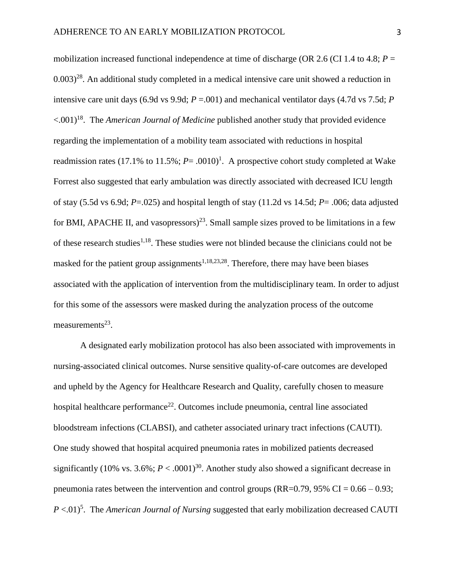mobilization increased functional independence at time of discharge (OR 2.6 (CI 1.4 to 4.8; *P* =  $0.003$ <sup>28</sup>. An additional study completed in a medical intensive care unit showed a reduction in intensive care unit days (6.9d vs 9.9d;  $P = .001$ ) and mechanical ventilator days (4.7d vs 7.5d;  $P$ <.001)<sup>18</sup>. The *American Journal of Medicine* published another study that provided evidence regarding the implementation of a mobility team associated with reductions in hospital readmission rates (17.1% to  $11.5\%$ ;  $P = .0010$ <sup>1</sup>. A prospective cohort study completed at Wake Forrest also suggested that early ambulation was directly associated with decreased ICU length of stay (5.5d vs 6.9d; *P*=.025) and hospital length of stay (11.2d vs 14.5d; *P*= .006; data adjusted for BMI, APACHE II, and vasopressors)<sup>23</sup>. Small sample sizes proved to be limitations in a few of these research studies<sup> $1,18$ </sup>. These studies were not blinded because the clinicians could not be masked for the patient group assignments<sup>1,18,23,28</sup>. Therefore, there may have been biases associated with the application of intervention from the multidisciplinary team. In order to adjust for this some of the assessors were masked during the analyzation process of the outcome measurements $^{23}$ .

A designated early mobilization protocol has also been associated with improvements in nursing-associated clinical outcomes. Nurse sensitive quality-of-care outcomes are developed and upheld by the Agency for Healthcare Research and Quality, carefully chosen to measure hospital healthcare performance<sup>22</sup>. Outcomes include pneumonia, central line associated bloodstream infections (CLABSI), and catheter associated urinary tract infections (CAUTI). One study showed that hospital acquired pneumonia rates in mobilized patients decreased significantly (10% vs.  $3.6\%$ ;  $P < .0001$ )<sup>30</sup>. Another study also showed a significant decrease in pneumonia rates between the intervention and control groups ( $RR=0.79$ , 95% CI = 0.66 – 0.93; *P* <.01)<sup>5</sup>. The *American Journal of Nursing* suggested that early mobilization decreased CAUTI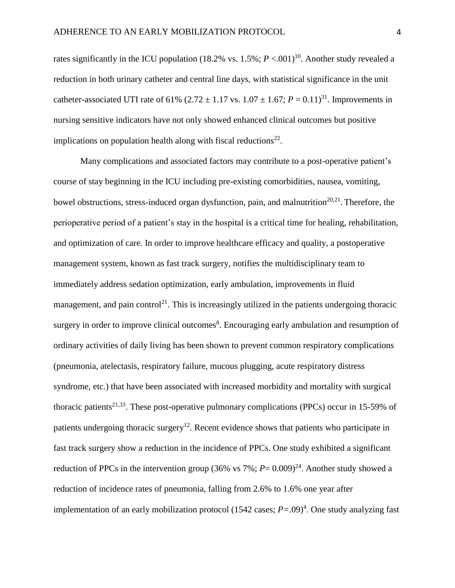rates significantly in the ICU population (18.2% vs.  $1.5\%$ ;  $P < .001$ )<sup>10</sup>. Another study revealed a reduction in both urinary catheter and central line days, with statistical significance in the unit catheter-associated UTI rate of 61%  $(2.72 \pm 1.17 \text{ vs. } 1.07 \pm 1.67; P = 0.11)^{31}$ . Improvements in nursing sensitive indicators have not only showed enhanced clinical outcomes but positive implications on population health along with fiscal reductions<sup>22</sup>.

Many complications and associated factors may contribute to a post-operative patient's course of stay beginning in the ICU including pre-existing comorbidities, nausea, vomiting, bowel obstructions, stress-induced organ dysfunction, pain, and malnutrition<sup>20,21</sup>. Therefore, the perioperative period of a patient's stay in the hospital is a critical time for healing, rehabilitation, and optimization of care. In order to improve healthcare efficacy and quality, a postoperative management system, known as fast track surgery, notifies the multidisciplinary team to immediately address sedation optimization, early ambulation, improvements in fluid management, and pain control<sup>21</sup>. This is increasingly utilized in the patients undergoing thoracic surgery in order to improve clinical outcomes<sup>8</sup>. Encouraging early ambulation and resumption of ordinary activities of daily living has been shown to prevent common respiratory complications (pneumonia, atelectasis, respiratory failure, mucous plugging, acute respiratory distress syndrome, etc.) that have been associated with increased morbidity and mortality with surgical thoracic patients<sup>21,33</sup>. These post-operative pulmonary complications (PPCs) occur in 15-59% of patients undergoing thoracic surgery<sup>12</sup>. Recent evidence shows that patients who participate in fast track surgery show a reduction in the incidence of PPCs. One study exhibited a significant reduction of PPCs in the intervention group (36% vs 7%;  $P = 0.009$ )<sup>24</sup>. Another study showed a reduction of incidence rates of pneumonia, falling from 2.6% to 1.6% one year after implementation of an early mobilization protocol  $(1542 \text{ cases}; P=.09)^4$ . One study analyzing fast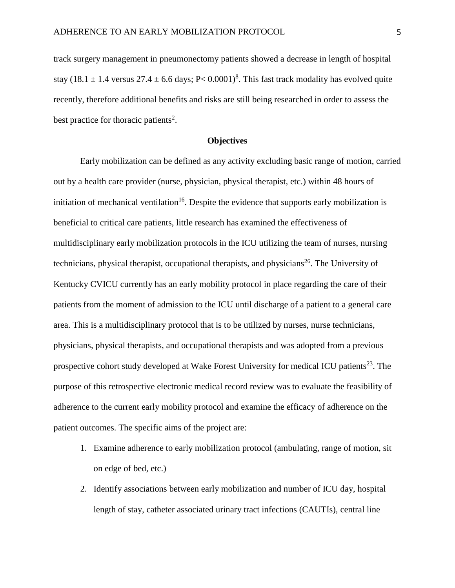track surgery management in pneumonectomy patients showed a decrease in length of hospital stay (18.1  $\pm$  1.4 versus 27.4  $\pm$  6.6 days; P< 0.0001)<sup>8</sup>. This fast track modality has evolved quite recently, therefore additional benefits and risks are still being researched in order to assess the best practice for thoracic patients<sup>2</sup>.

#### **Objectives**

Early mobilization can be defined as any activity excluding basic range of motion, carried out by a health care provider (nurse, physician, physical therapist, etc.) within 48 hours of initiation of mechanical ventilation<sup>16</sup>. Despite the evidence that supports early mobilization is beneficial to critical care patients, little research has examined the effectiveness of multidisciplinary early mobilization protocols in the ICU utilizing the team of nurses, nursing technicians, physical therapist, occupational therapists, and physicians<sup>26</sup>. The University of Kentucky CVICU currently has an early mobility protocol in place regarding the care of their patients from the moment of admission to the ICU until discharge of a patient to a general care area. This is a multidisciplinary protocol that is to be utilized by nurses, nurse technicians, physicians, physical therapists, and occupational therapists and was adopted from a previous prospective cohort study developed at Wake Forest University for medical ICU patients<sup>23</sup>. The purpose of this retrospective electronic medical record review was to evaluate the feasibility of adherence to the current early mobility protocol and examine the efficacy of adherence on the patient outcomes. The specific aims of the project are:

- 1. Examine adherence to early mobilization protocol (ambulating, range of motion, sit on edge of bed, etc.)
- 2. Identify associations between early mobilization and number of ICU day, hospital length of stay, catheter associated urinary tract infections (CAUTIs), central line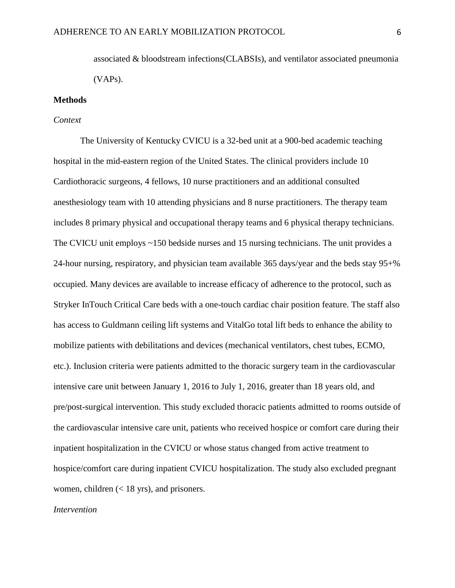associated & bloodstream infections(CLABSIs), and ventilator associated pneumonia (VAPs).

#### **Methods**

#### *Context*

The University of Kentucky CVICU is a 32-bed unit at a 900-bed academic teaching hospital in the mid-eastern region of the United States. The clinical providers include 10 Cardiothoracic surgeons, 4 fellows, 10 nurse practitioners and an additional consulted anesthesiology team with 10 attending physicians and 8 nurse practitioners. The therapy team includes 8 primary physical and occupational therapy teams and 6 physical therapy technicians. The CVICU unit employs ~150 bedside nurses and 15 nursing technicians. The unit provides a 24-hour nursing, respiratory, and physician team available 365 days/year and the beds stay 95+% occupied. Many devices are available to increase efficacy of adherence to the protocol, such as Stryker InTouch Critical Care beds with a one-touch cardiac chair position feature. The staff also has access to Guldmann ceiling lift systems and VitalGo total lift beds to enhance the ability to mobilize patients with debilitations and devices (mechanical ventilators, chest tubes, ECMO, etc.). Inclusion criteria were patients admitted to the thoracic surgery team in the cardiovascular intensive care unit between January 1, 2016 to July 1, 2016, greater than 18 years old, and pre/post-surgical intervention. This study excluded thoracic patients admitted to rooms outside of the cardiovascular intensive care unit, patients who received hospice or comfort care during their inpatient hospitalization in the CVICU or whose status changed from active treatment to hospice/comfort care during inpatient CVICU hospitalization. The study also excluded pregnant women, children  $(< 18$  yrs), and prisoners.

#### *Intervention*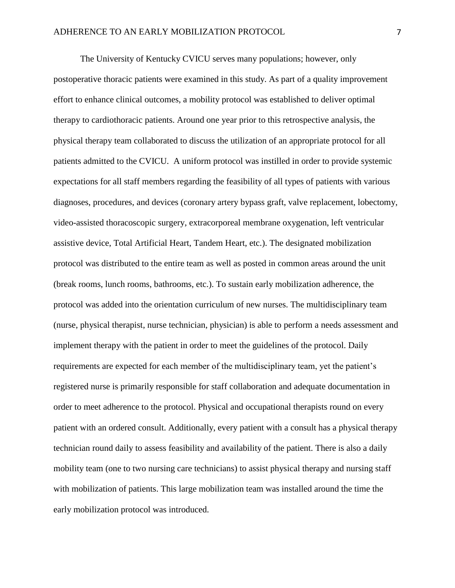The University of Kentucky CVICU serves many populations; however, only postoperative thoracic patients were examined in this study. As part of a quality improvement effort to enhance clinical outcomes, a mobility protocol was established to deliver optimal therapy to cardiothoracic patients. Around one year prior to this retrospective analysis, the physical therapy team collaborated to discuss the utilization of an appropriate protocol for all patients admitted to the CVICU. A uniform protocol was instilled in order to provide systemic expectations for all staff members regarding the feasibility of all types of patients with various diagnoses, procedures, and devices (coronary artery bypass graft, valve replacement, lobectomy, video-assisted thoracoscopic surgery, extracorporeal membrane oxygenation, left ventricular assistive device, Total Artificial Heart, Tandem Heart, etc.). The designated mobilization protocol was distributed to the entire team as well as posted in common areas around the unit (break rooms, lunch rooms, bathrooms, etc.). To sustain early mobilization adherence, the protocol was added into the orientation curriculum of new nurses. The multidisciplinary team (nurse, physical therapist, nurse technician, physician) is able to perform a needs assessment and implement therapy with the patient in order to meet the guidelines of the protocol. Daily requirements are expected for each member of the multidisciplinary team, yet the patient's registered nurse is primarily responsible for staff collaboration and adequate documentation in order to meet adherence to the protocol. Physical and occupational therapists round on every patient with an ordered consult. Additionally, every patient with a consult has a physical therapy technician round daily to assess feasibility and availability of the patient. There is also a daily mobility team (one to two nursing care technicians) to assist physical therapy and nursing staff with mobilization of patients. This large mobilization team was installed around the time the early mobilization protocol was introduced.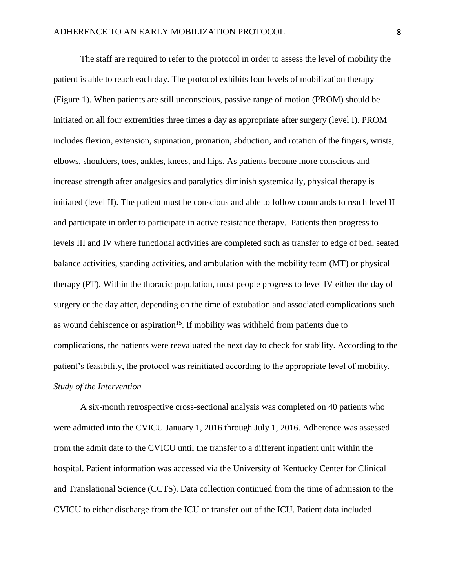The staff are required to refer to the protocol in order to assess the level of mobility the patient is able to reach each day. The protocol exhibits four levels of mobilization therapy (Figure 1). When patients are still unconscious, passive range of motion (PROM) should be initiated on all four extremities three times a day as appropriate after surgery (level I). PROM includes flexion, extension, supination, pronation, abduction, and rotation of the fingers, wrists, elbows, shoulders, toes, ankles, knees, and hips. As patients become more conscious and increase strength after analgesics and paralytics diminish systemically, physical therapy is initiated (level II). The patient must be conscious and able to follow commands to reach level II and participate in order to participate in active resistance therapy. Patients then progress to levels III and IV where functional activities are completed such as transfer to edge of bed, seated balance activities, standing activities, and ambulation with the mobility team (MT) or physical therapy (PT). Within the thoracic population, most people progress to level IV either the day of surgery or the day after, depending on the time of extubation and associated complications such as wound dehiscence or aspiration<sup>15</sup>. If mobility was withheld from patients due to complications, the patients were reevaluated the next day to check for stability. According to the patient's feasibility, the protocol was reinitiated according to the appropriate level of mobility. *Study of the Intervention*

A six-month retrospective cross-sectional analysis was completed on 40 patients who were admitted into the CVICU January 1, 2016 through July 1, 2016. Adherence was assessed from the admit date to the CVICU until the transfer to a different inpatient unit within the hospital. Patient information was accessed via the University of Kentucky Center for Clinical and Translational Science (CCTS). Data collection continued from the time of admission to the CVICU to either discharge from the ICU or transfer out of the ICU. Patient data included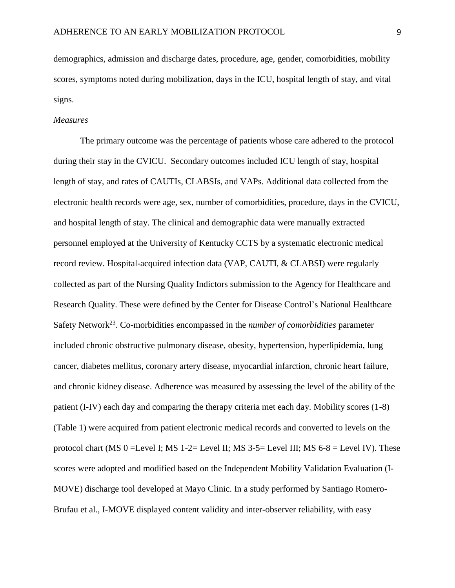demographics, admission and discharge dates, procedure, age, gender, comorbidities, mobility scores, symptoms noted during mobilization, days in the ICU, hospital length of stay, and vital signs.

#### *Measures*

The primary outcome was the percentage of patients whose care adhered to the protocol during their stay in the CVICU. Secondary outcomes included ICU length of stay, hospital length of stay, and rates of CAUTIs, CLABSIs, and VAPs. Additional data collected from the electronic health records were age, sex, number of comorbidities, procedure, days in the CVICU, and hospital length of stay. The clinical and demographic data were manually extracted personnel employed at the University of Kentucky CCTS by a systematic electronic medical record review. Hospital-acquired infection data (VAP, CAUTI, & CLABSI) were regularly collected as part of the Nursing Quality Indictors submission to the Agency for Healthcare and Research Quality. These were defined by the Center for Disease Control's National Healthcare Safety Network<sup>23</sup>. Co-morbidities encompassed in the *number of comorbidities* parameter included chronic obstructive pulmonary disease, obesity, hypertension, hyperlipidemia, lung cancer, diabetes mellitus, coronary artery disease, myocardial infarction, chronic heart failure, and chronic kidney disease. Adherence was measured by assessing the level of the ability of the patient (I-IV) each day and comparing the therapy criteria met each day. Mobility scores (1-8) (Table 1) were acquired from patient electronic medical records and converted to levels on the protocol chart (MS  $0 = \text{Level I}$ ; MS  $1 - 2 = \text{Level II}$ ; MS  $3 - 5 = \text{Level III}$ ; MS  $6 - 8 = \text{Level IV}$ ). These scores were adopted and modified based on the Independent Mobility Validation Evaluation (I-MOVE) discharge tool developed at Mayo Clinic. In a study performed by Santiago Romero-Brufau et al., I-MOVE displayed content validity and inter-observer reliability, with easy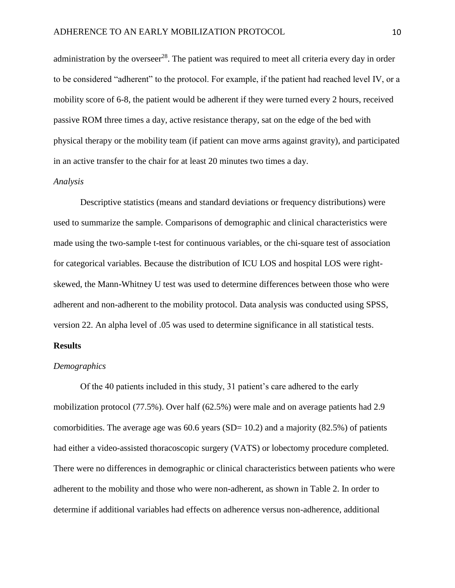administration by the overseer<sup>28</sup>. The patient was required to meet all criteria every day in order to be considered "adherent" to the protocol. For example, if the patient had reached level IV, or a mobility score of 6-8, the patient would be adherent if they were turned every 2 hours, received passive ROM three times a day, active resistance therapy, sat on the edge of the bed with physical therapy or the mobility team (if patient can move arms against gravity), and participated in an active transfer to the chair for at least 20 minutes two times a day.

#### *Analysis*

Descriptive statistics (means and standard deviations or frequency distributions) were used to summarize the sample. Comparisons of demographic and clinical characteristics were made using the two-sample t-test for continuous variables, or the chi-square test of association for categorical variables. Because the distribution of ICU LOS and hospital LOS were rightskewed, the Mann-Whitney U test was used to determine differences between those who were adherent and non-adherent to the mobility protocol. Data analysis was conducted using SPSS, version 22. An alpha level of .05 was used to determine significance in all statistical tests.

#### **Results**

#### *Demographics*

Of the 40 patients included in this study, 31 patient's care adhered to the early mobilization protocol (77.5%). Over half (62.5%) were male and on average patients had 2.9 comorbidities. The average age was  $60.6$  years (SD= 10.2) and a majority (82.5%) of patients had either a video-assisted thoracoscopic surgery (VATS) or lobectomy procedure completed. There were no differences in demographic or clinical characteristics between patients who were adherent to the mobility and those who were non-adherent, as shown in Table 2. In order to determine if additional variables had effects on adherence versus non-adherence, additional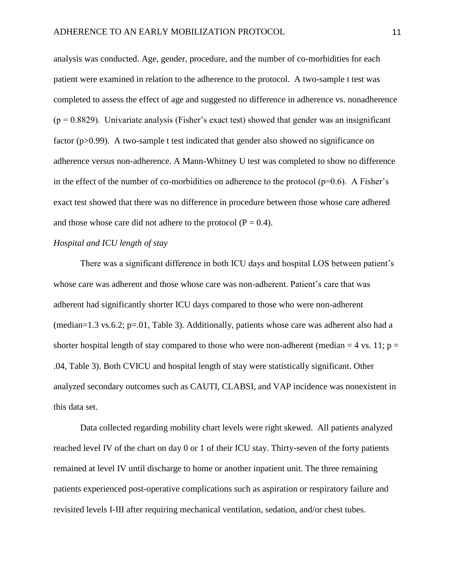analysis was conducted. Age, gender, procedure, and the number of co-morbidities for each patient were examined in relation to the adherence to the protocol. A two-sample t test was completed to assess the effect of age and suggested no difference in adherence vs. nonadherence  $(p = 0.8829)$ . Univariate analysis (Fisher's exact test) showed that gender was an insignificant factor (p>0.99). A two-sample t test indicated that gender also showed no significance on adherence versus non-adherence. A Mann-Whitney U test was completed to show no difference in the effect of the number of co-morbidities on adherence to the protocol ( $p=0.6$ ). A Fisher's exact test showed that there was no difference in procedure between those whose care adhered and those whose care did not adhere to the protocol  $(P = 0.4)$ .

#### *Hospital and ICU length of stay*

There was a significant difference in both ICU days and hospital LOS between patient's whose care was adherent and those whose care was non-adherent. Patient's care that was adherent had significantly shorter ICU days compared to those who were non-adherent (median=1.3 vs.6.2; p=.01, Table 3). Additionally, patients whose care was adherent also had a shorter hospital length of stay compared to those who were non-adherent (median  $= 4$  vs. 11; p = .04, Table 3). Both CVICU and hospital length of stay were statistically significant. Other analyzed secondary outcomes such as CAUTI, CLABSI, and VAP incidence was nonexistent in this data set.

Data collected regarding mobility chart levels were right skewed. All patients analyzed reached level IV of the chart on day 0 or 1 of their ICU stay. Thirty-seven of the forty patients remained at level IV until discharge to home or another inpatient unit. The three remaining patients experienced post-operative complications such as aspiration or respiratory failure and revisited levels I-III after requiring mechanical ventilation, sedation, and/or chest tubes.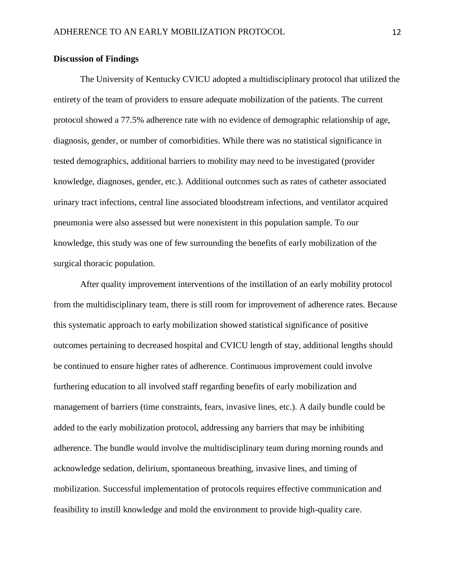#### **Discussion of Findings**

The University of Kentucky CVICU adopted a multidisciplinary protocol that utilized the entirety of the team of providers to ensure adequate mobilization of the patients. The current protocol showed a 77.5% adherence rate with no evidence of demographic relationship of age, diagnosis, gender, or number of comorbidities. While there was no statistical significance in tested demographics, additional barriers to mobility may need to be investigated (provider knowledge, diagnoses, gender, etc.). Additional outcomes such as rates of catheter associated urinary tract infections, central line associated bloodstream infections, and ventilator acquired pneumonia were also assessed but were nonexistent in this population sample. To our knowledge, this study was one of few surrounding the benefits of early mobilization of the surgical thoracic population.

After quality improvement interventions of the instillation of an early mobility protocol from the multidisciplinary team, there is still room for improvement of adherence rates. Because this systematic approach to early mobilization showed statistical significance of positive outcomes pertaining to decreased hospital and CVICU length of stay, additional lengths should be continued to ensure higher rates of adherence. Continuous improvement could involve furthering education to all involved staff regarding benefits of early mobilization and management of barriers (time constraints, fears, invasive lines, etc.). A daily bundle could be added to the early mobilization protocol, addressing any barriers that may be inhibiting adherence. The bundle would involve the multidisciplinary team during morning rounds and acknowledge sedation, delirium, spontaneous breathing, invasive lines, and timing of mobilization. Successful implementation of protocols requires effective communication and feasibility to instill knowledge and mold the environment to provide high-quality care.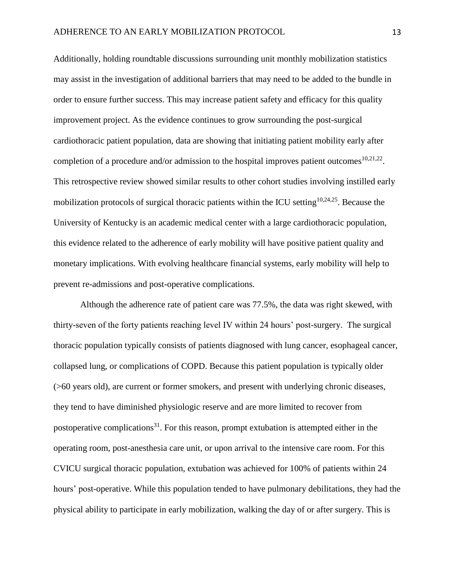Additionally, holding roundtable discussions surrounding unit monthly mobilization statistics may assist in the investigation of additional barriers that may need to be added to the bundle in order to ensure further success. This may increase patient safety and efficacy for this quality improvement project. As the evidence continues to grow surrounding the post-surgical cardiothoracic patient population, data are showing that initiating patient mobility early after completion of a procedure and/or admission to the hospital improves patient outcomes  $10,21,22$ . This retrospective review showed similar results to other cohort studies involving instilled early mobilization protocols of surgical thoracic patients within the ICU setting<sup>10,24,25</sup>. Because the University of Kentucky is an academic medical center with a large cardiothoracic population, this evidence related to the adherence of early mobility will have positive patient quality and monetary implications. With evolving healthcare financial systems, early mobility will help to prevent re-admissions and post-operative complications.

Although the adherence rate of patient care was 77.5%, the data was right skewed, with thirty-seven of the forty patients reaching level IV within 24 hours' post-surgery. The surgical thoracic population typically consists of patients diagnosed with lung cancer, esophageal cancer, collapsed lung, or complications of COPD. Because this patient population is typically older (>60 years old), are current or former smokers, and present with underlying chronic diseases, they tend to have diminished physiologic reserve and are more limited to recover from postoperative complications<sup>31</sup>. For this reason, prompt extubation is attempted either in the operating room, post-anesthesia care unit, or upon arrival to the intensive care room. For this CVICU surgical thoracic population, extubation was achieved for 100% of patients within 24 hours' post-operative. While this population tended to have pulmonary debilitations, they had the physical ability to participate in early mobilization, walking the day of or after surgery. This is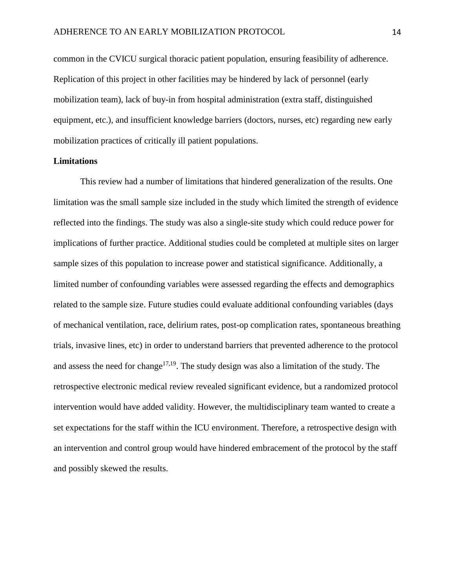common in the CVICU surgical thoracic patient population, ensuring feasibility of adherence. Replication of this project in other facilities may be hindered by lack of personnel (early mobilization team), lack of buy-in from hospital administration (extra staff, distinguished equipment, etc.), and insufficient knowledge barriers (doctors, nurses, etc) regarding new early mobilization practices of critically ill patient populations.

#### **Limitations**

This review had a number of limitations that hindered generalization of the results. One limitation was the small sample size included in the study which limited the strength of evidence reflected into the findings. The study was also a single-site study which could reduce power for implications of further practice. Additional studies could be completed at multiple sites on larger sample sizes of this population to increase power and statistical significance. Additionally, a limited number of confounding variables were assessed regarding the effects and demographics related to the sample size. Future studies could evaluate additional confounding variables (days of mechanical ventilation, race, delirium rates, post-op complication rates, spontaneous breathing trials, invasive lines, etc) in order to understand barriers that prevented adherence to the protocol and assess the need for change<sup>17,19</sup>. The study design was also a limitation of the study. The retrospective electronic medical review revealed significant evidence, but a randomized protocol intervention would have added validity. However, the multidisciplinary team wanted to create a set expectations for the staff within the ICU environment. Therefore, a retrospective design with an intervention and control group would have hindered embracement of the protocol by the staff and possibly skewed the results.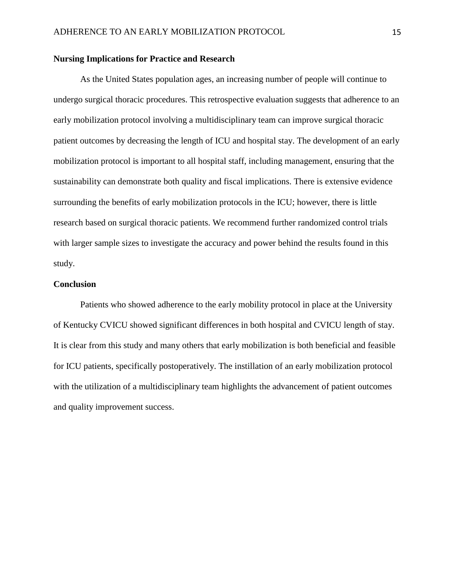#### **Nursing Implications for Practice and Research**

As the United States population ages, an increasing number of people will continue to undergo surgical thoracic procedures. This retrospective evaluation suggests that adherence to an early mobilization protocol involving a multidisciplinary team can improve surgical thoracic patient outcomes by decreasing the length of ICU and hospital stay. The development of an early mobilization protocol is important to all hospital staff, including management, ensuring that the sustainability can demonstrate both quality and fiscal implications. There is extensive evidence surrounding the benefits of early mobilization protocols in the ICU; however, there is little research based on surgical thoracic patients. We recommend further randomized control trials with larger sample sizes to investigate the accuracy and power behind the results found in this study.

#### **Conclusion**

Patients who showed adherence to the early mobility protocol in place at the University of Kentucky CVICU showed significant differences in both hospital and CVICU length of stay. It is clear from this study and many others that early mobilization is both beneficial and feasible for ICU patients, specifically postoperatively. The instillation of an early mobilization protocol with the utilization of a multidisciplinary team highlights the advancement of patient outcomes and quality improvement success.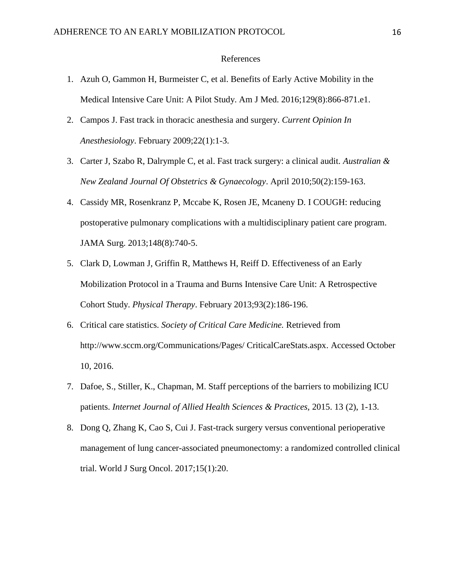#### References

- 1. Azuh O, Gammon H, Burmeister C, et al. Benefits of Early Active Mobility in the Medical Intensive Care Unit: A Pilot Study. Am J Med. 2016;129(8):866-871.e1.
- 2. Campos J. Fast track in thoracic anesthesia and surgery. *Current Opinion In Anesthesiology*. February 2009;22(1):1-3.
- 3. Carter J, Szabo R, Dalrymple C, et al. Fast track surgery: a clinical audit. *Australian & New Zealand Journal Of Obstetrics & Gynaecology*. April 2010;50(2):159-163.
- 4. Cassidy MR, Rosenkranz P, Mccabe K, Rosen JE, Mcaneny D. I COUGH: reducing postoperative pulmonary complications with a multidisciplinary patient care program. JAMA Surg. 2013;148(8):740-5.
- 5. Clark D, Lowman J, Griffin R, Matthews H, Reiff D. Effectiveness of an Early Mobilization Protocol in a Trauma and Burns Intensive Care Unit: A Retrospective Cohort Study. *Physical Therapy*. February 2013;93(2):186-196.
- 6. Critical care statistics. *Society of Critical Care Medicine.* Retrieved from http://www.sccm.org/Communications/Pages/ CriticalCareStats.aspx. Accessed October 10, 2016.
- 7. Dafoe, S., Stiller, K., Chapman, M. Staff perceptions of the barriers to mobilizing ICU patients. *Internet Journal of Allied Health Sciences & Practices,* 2015. 13 (2), 1-13.
- 8. Dong Q, Zhang K, Cao S, Cui J. Fast-track surgery versus conventional perioperative management of lung cancer-associated pneumonectomy: a randomized controlled clinical trial. World J Surg Oncol. 2017;15(1):20.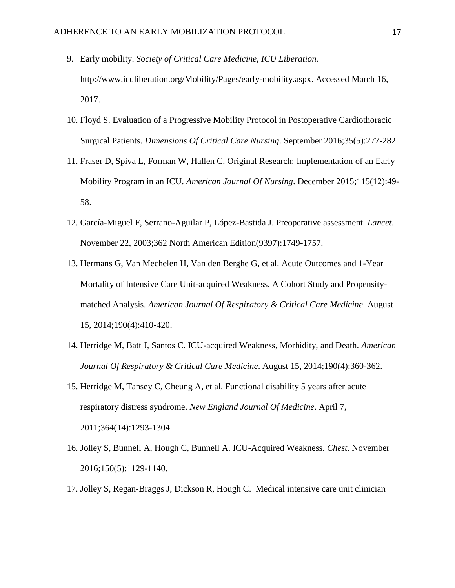- 9. Early mobility. *Society of Critical Care Medicine, ICU Liberation.*  http://www.iculiberation.org/Mobility/Pages/early-mobility.aspx. Accessed March 16, 2017.
- 10. Floyd S. Evaluation of a Progressive Mobility Protocol in Postoperative Cardiothoracic Surgical Patients. *Dimensions Of Critical Care Nursing*. September 2016;35(5):277-282.
- 11. Fraser D, Spiva L, Forman W, Hallen C. Original Research: Implementation of an Early Mobility Program in an ICU. *American Journal Of Nursing*. December 2015;115(12):49- 58.
- 12. García-Miguel F, Serrano-Aguilar P, López-Bastida J. Preoperative assessment. *Lancet*. November 22, 2003;362 North American Edition(9397):1749-1757.
- 13. Hermans G, Van Mechelen H, Van den Berghe G, et al. Acute Outcomes and 1-Year Mortality of Intensive Care Unit-acquired Weakness. A Cohort Study and Propensitymatched Analysis. *American Journal Of Respiratory & Critical Care Medicine*. August 15, 2014;190(4):410-420.
- 14. Herridge M, Batt J, Santos C. ICU-acquired Weakness, Morbidity, and Death. *American Journal Of Respiratory & Critical Care Medicine*. August 15, 2014;190(4):360-362.
- 15. Herridge M, Tansey C, Cheung A, et al. Functional disability 5 years after acute respiratory distress syndrome. *New England Journal Of Medicine*. April 7, 2011;364(14):1293-1304.
- 16. Jolley S, Bunnell A, Hough C, Bunnell A. ICU-Acquired Weakness. *Chest*. November 2016;150(5):1129-1140.
- 17. Jolley S, Regan-Braggs J, Dickson R, Hough C. Medical intensive care unit clinician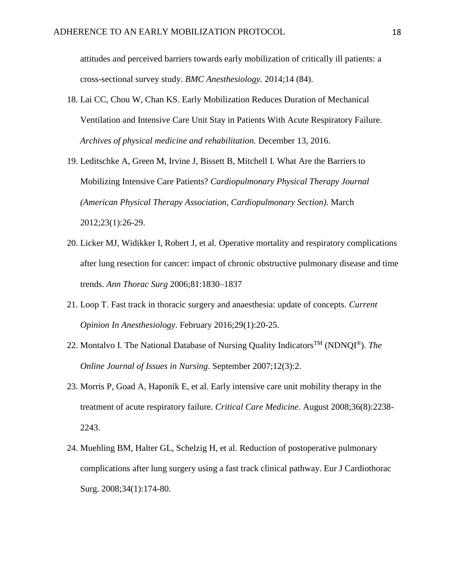attitudes and perceived barriers towards early mobilization of critically ill patients: a cross-sectional survey study. *BMC Anesthesiology.* 2014;14 (84).

- 18. Lai CC, Chou W, Chan KS. Early Mobilization Reduces Duration of Mechanical Ventilation and Intensive Care Unit Stay in Patients With Acute Respiratory Failure. *Archives of physical medicine and rehabilitation.* December 13, 2016.
- 19. Leditschke A, Green M, Irvine J, Bissett B, Mitchell I. What Are the Barriers to Mobilizing Intensive Care Patients? *Cardiopulmonary Physical Therapy Journal (American Physical Therapy Association, Cardiopulmonary Section)*. March 2012;23(1):26-29.
- 20. Licker MJ, Widikker I, Robert J, et al*.* Operative mortality and respiratory complications after lung resection for cancer: impact of chronic obstructive pulmonary disease and time trends. *Ann Thorac Surg* 2006;81:1830–1837
- 21. Loop T. Fast track in thoracic surgery and anaesthesia: update of concepts. *Current Opinion In Anesthesiology*. February 2016;29(1):20-25.
- 22. Montalvo I. The National Database of Nursing Quality Indicators<sup>TM</sup> (NDNQI<sup>®</sup>). *The Online Journal of Issues in Nursing*. September 2007;12(3):2.
- 23. Morris P, Goad A, Haponik E, et al. Early intensive care unit mobility therapy in the treatment of acute respiratory failure. *Critical Care Medicine*. August 2008;36(8):2238- 2243.
- 24. Muehling BM, Halter GL, Schelzig H, et al. Reduction of postoperative pulmonary complications after lung surgery using a fast track clinical pathway. Eur J Cardiothorac Surg. 2008;34(1):174-80.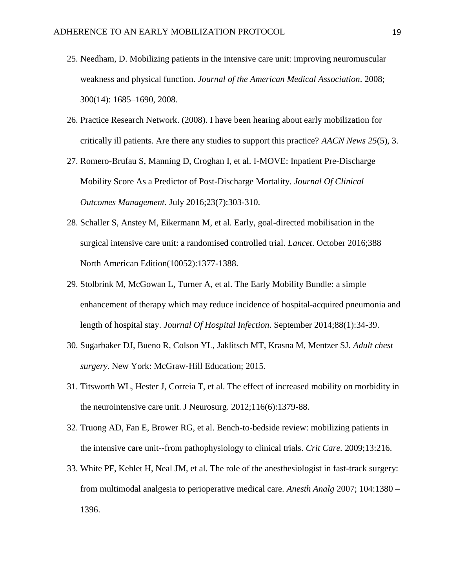- 25. Needham, D. Mobilizing patients in the intensive care unit: improving neuromuscular weakness and physical function. *Journal of the American Medical Association*. 2008; 300(14): 1685–1690, 2008.
- 26. Practice Research Network. (2008). I have been hearing about early mobilization for critically ill patients. Are there any studies to support this practice? *AACN News 25*(5), 3.
- 27. Romero-Brufau S, Manning D, Croghan I, et al. I-MOVE: Inpatient Pre-Discharge Mobility Score As a Predictor of Post-Discharge Mortality. *Journal Of Clinical Outcomes Management*. July 2016;23(7):303-310.
- 28. Schaller S, Anstey M, Eikermann M, et al. Early, goal-directed mobilisation in the surgical intensive care unit: a randomised controlled trial. *Lancet*. October 2016;388 North American Edition(10052):1377-1388.
- 29. Stolbrink M, McGowan L, Turner A, et al. The Early Mobility Bundle: a simple enhancement of therapy which may reduce incidence of hospital-acquired pneumonia and length of hospital stay. *Journal Of Hospital Infection*. September 2014;88(1):34-39.
- 30. Sugarbaker DJ, Bueno R, Colson YL, Jaklitsch MT, Krasna M, Mentzer SJ. *Adult chest surgery*. New York: McGraw-Hill Education; 2015.
- 31. Titsworth WL, Hester J, Correia T, et al. The effect of increased mobility on morbidity in the neurointensive care unit. J Neurosurg. 2012;116(6):1379-88.
- 32. Truong AD, Fan E, Brower RG, et al. Bench-to-bedside review: mobilizing patients in the intensive care unit--from pathophysiology to clinical trials. *Crit Care.* 2009;13:216.
- 33. White PF, Kehlet H, Neal JM, et al. The role of the anesthesiologist in fast-track surgery: from multimodal analgesia to perioperative medical care. *Anesth Analg* 2007; 104:1380 – 1396.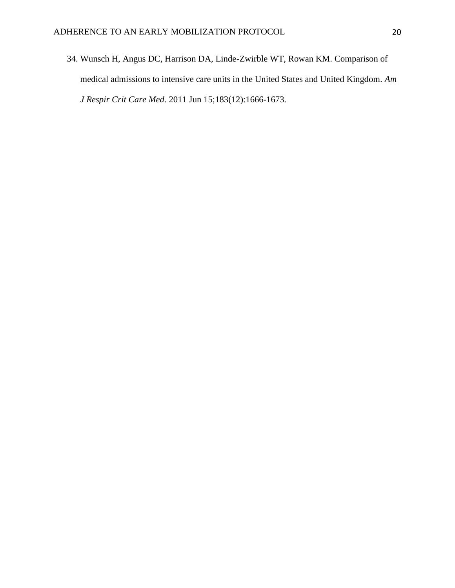34. Wunsch H, Angus DC, Harrison DA, Linde-Zwirble WT, Rowan KM. Comparison of medical admissions to intensive care units in the United States and United Kingdom. *Am J Respir Crit Care Med*. 2011 Jun 15;183(12):1666-1673.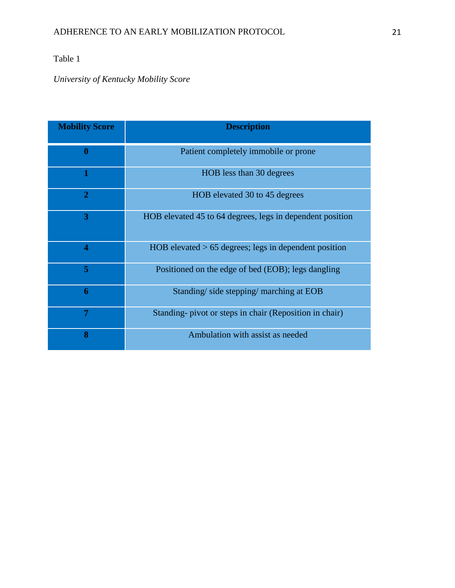## Table 1

*University of Kentucky Mobility Score* 

| <b>Mobility Score</b> | <b>Description</b>                                        |
|-----------------------|-----------------------------------------------------------|
| $\boldsymbol{0}$      | Patient completely immobile or prone                      |
| 1                     | HOB less than 30 degrees                                  |
| $\mathbf{2}$          | HOB elevated 30 to 45 degrees                             |
| 3                     | HOB elevated 45 to 64 degrees, legs in dependent position |
| 4                     | $HOB$ elevated $> 65$ degrees; legs in dependent position |
| 5                     | Positioned on the edge of bed (EOB); legs dangling        |
| 6                     | Standing/side stepping/marching at EOB                    |
| 7                     | Standing- pivot or steps in chair (Reposition in chair)   |
| 8                     | Ambulation with assist as needed                          |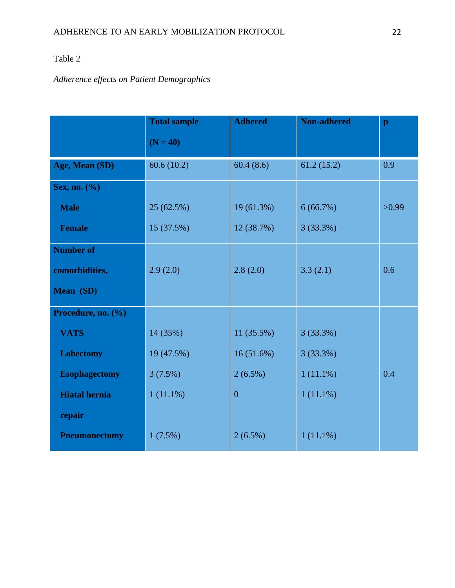## Table 2

## *Adherence effects on Patient Demographics*

|                      | <b>Total sample</b> | <b>Adhered</b>   | <b>Non-adhered</b> | $\mathbf{p}$ |
|----------------------|---------------------|------------------|--------------------|--------------|
|                      | $(N = 40)$          |                  |                    |              |
| Age, Mean (SD)       | 60.6(10.2)          | 60.4(8.6)        | 61.2(15.2)         | 0.9          |
| Sex, no. (%)         |                     |                  |                    |              |
| <b>Male</b>          | 25 (62.5%)          | 19 (61.3%)       | 6(66.7%)           | >0.99        |
| <b>Female</b>        | 15 (37.5%)          | 12 (38.7%)       | 3(33.3%)           |              |
| <b>Number of</b>     |                     |                  |                    |              |
| comorbidities,       | 2.9(2.0)            | 2.8(2.0)         | 3.3(2.1)           | 0.6          |
| Mean (SD)            |                     |                  |                    |              |
| Procedure, no. (%)   |                     |                  |                    |              |
| <b>VATS</b>          | 14 (35%)            | 11 (35.5%)       | 3(33.3%)           |              |
| Lobectomy            | 19 (47.5%)          | 16(51.6%)        | 3(33.3%)           |              |
| <b>Esophagectomy</b> | 3(7.5%)             | $2(6.5\%)$       | $1(11.1\%)$        | 0.4          |
| <b>Hiatal hernia</b> | 1(11.1%)            | $\boldsymbol{0}$ | $1(11.1\%)$        |              |
| repair               |                     |                  |                    |              |
| <b>Pneumonectomy</b> | 1(7.5%)             | $2(6.5\%)$       | $1(11.1\%)$        |              |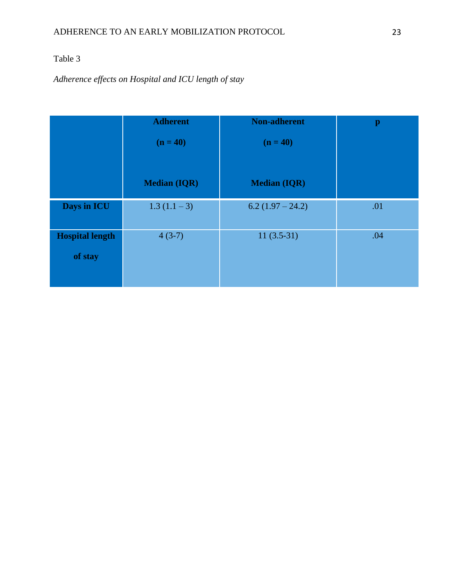## Table 3

*Adherence effects on Hospital and ICU length of stay* 

|                                   | <b>Adherent</b><br>$(n = 40)$ | <b>Non-adherent</b><br>$(n = 40)$ | $\mathbf{p}$ |
|-----------------------------------|-------------------------------|-----------------------------------|--------------|
|                                   | <b>Median (IQR)</b>           | <b>Median (IQR)</b>               |              |
| Days in ICU                       | $1.3(1.1-3)$                  | $6.2(1.97-24.2)$                  | .01          |
| <b>Hospital length</b><br>of stay | $4(3-7)$                      | $11(3.5-31)$                      | .04          |